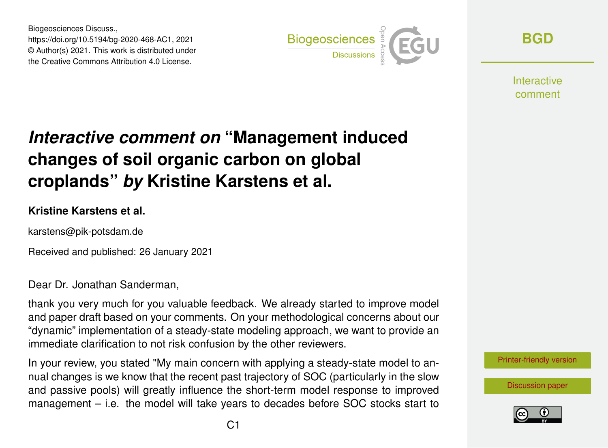Biogeosciences Discuss., https://doi.org/10.5194/bg-2020-468-AC1, 2021 © Author(s) 2021. This work is distributed under the Creative Commons Attribution 4.0 License.



**[BGD](https://bg.copernicus.org/preprints/)**

**Interactive** comment

## *Interactive comment on* **"Management induced changes of soil organic carbon on global croplands"** *by* **Kristine Karstens et al.**

## **Kristine Karstens et al.**

karstens@pik-potsdam.de

Received and published: 26 January 2021

Dear Dr. Jonathan Sanderman,

thank you very much for you valuable feedback. We already started to improve model and paper draft based on your comments. On your methodological concerns about our "dynamic" implementation of a steady-state modeling approach, we want to provide an immediate clarification to not risk confusion by the other reviewers.

In your review, you stated "My main concern with applying a steady-state model to annual changes is we know that the recent past trajectory of SOC (particularly in the slow and passive pools) will greatly influence the short-term model response to improved management – i.e. the model will take years to decades before SOC stocks start to

[Printer-friendly version](https://bg.copernicus.org/preprints/bg-2020-468/bg-2020-468-AC1-print.pdf)

[Discussion paper](https://bg.copernicus.org/preprints/bg-2020-468)